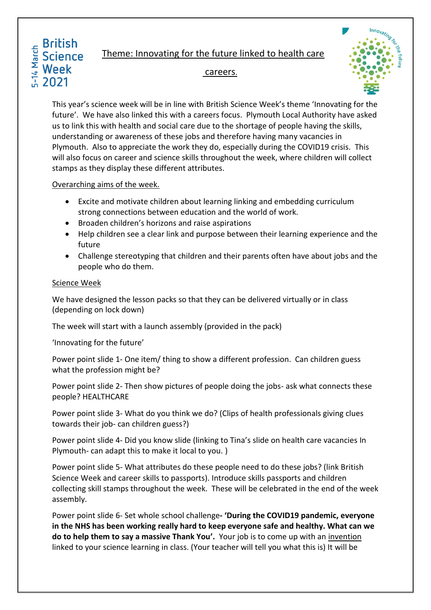#### Theme: Innovating for the future linked to health care **Science**



### careers.

This year's science week will be in line with British Science Week's theme 'Innovating for the future'. We have also linked this with a careers focus. Plymouth Local Authority have asked us to link this with health and social care due to the shortage of people having the skills, understanding or awareness of these jobs and therefore having many vacancies in Plymouth. Also to appreciate the work they do, especially during the COVID19 crisis. This will also focus on career and science skills throughout the week, where children will collect stamps as they display these different attributes.

# Overarching aims of the week.

- Excite and motivate children about learning linking and embedding curriculum strong connections between education and the world of work.
- Broaden children's horizons and raise aspirations
- Help children see a clear link and purpose between their learning experience and the future
- Challenge stereotyping that children and their parents often have about jobs and the people who do them.

# Science Week

**British** 

**Week** 2021

5-14 March

We have designed the lesson packs so that they can be delivered virtually or in class (depending on lock down)

The week will start with a launch assembly (provided in the pack)

'Innovating for the future'

Power point slide 1- One item/ thing to show a different profession. Can children guess what the profession might be?

Power point slide 2- Then show pictures of people doing the jobs- ask what connects these people? HEALTHCARE

Power point slide 3- What do you think we do? (Clips of health professionals giving clues towards their job- can children guess?)

Power point slide 4- Did you know slide (linking to Tina's slide on health care vacancies In Plymouth- can adapt this to make it local to you. )

Power point slide 5- What attributes do these people need to do these jobs? (link British Science Week and career skills to passports). Introduce skills passports and children collecting skill stamps throughout the week. These will be celebrated in the end of the week assembly.

Power point slide 6- Set whole school challenge**- 'During the COVID19 pandemic, everyone in the NHS has been working really hard to keep everyone safe and healthy. What can we do to help them to say a massive Thank You'.** Your job is to come up with an invention linked to your science learning in class. (Your teacher will tell you what this is) It will be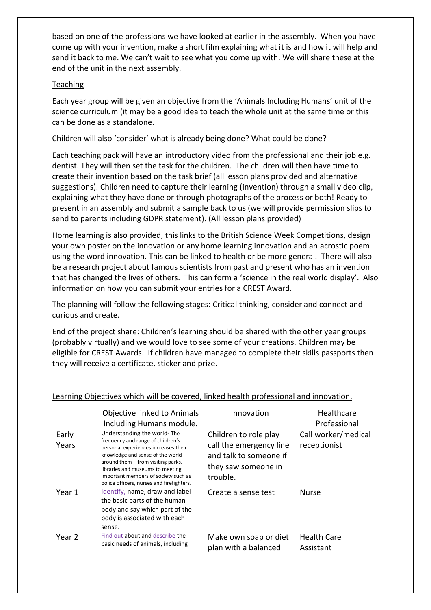based on one of the professions we have looked at earlier in the assembly. When you have come up with your invention, make a short film explaining what it is and how it will help and send it back to me. We can't wait to see what you come up with. We will share these at the end of the unit in the next assembly.

## Teaching

Each year group will be given an objective from the 'Animals Including Humans' unit of the science curriculum (it may be a good idea to teach the whole unit at the same time or this can be done as a standalone.

Children will also 'consider' what is already being done? What could be done?

Each teaching pack will have an introductory video from the professional and their job e.g. dentist. They will then set the task for the children. The children will then have time to create their invention based on the task brief (all lesson plans provided and alternative suggestions). Children need to capture their learning (invention) through a small video clip, explaining what they have done or through photographs of the process or both! Ready to present in an assembly and submit a sample back to us (we will provide permission slips to send to parents including GDPR statement). (All lesson plans provided)

Home learning is also provided, this links to the British Science Week Competitions, design your own poster on the innovation or any home learning innovation and an acrostic poem using the word innovation. This can be linked to health or be more general. There will also be a research project about famous scientists from past and present who has an invention that has changed the lives of others. This can form a 'science in the real world display'. Also information on how you can submit your entries for a CREST Award.

The planning will follow the following stages: Critical thinking, consider and connect and curious and create.

End of the project share: Children's learning should be shared with the other year groups (probably virtually) and we would love to see some of your creations. Children may be eligible for CREST Awards. If children have managed to complete their skills passports then they will receive a certificate, sticker and prize.

|                | Objective linked to Animals                                                                                                                                                                                                                                                                                 | Innovation                                                                                                    | Healthcare                          |
|----------------|-------------------------------------------------------------------------------------------------------------------------------------------------------------------------------------------------------------------------------------------------------------------------------------------------------------|---------------------------------------------------------------------------------------------------------------|-------------------------------------|
|                | Including Humans module.                                                                                                                                                                                                                                                                                    |                                                                                                               | Professional                        |
| Early<br>Years | Understanding the world-The<br>frequency and range of children's<br>personal experiences increases their<br>knowledge and sense of the world<br>around them - from visiting parks,<br>libraries and museums to meeting<br>important members of society such as<br>police officers, nurses and firefighters. | Children to role play<br>call the emergency line<br>and talk to someone if<br>they saw someone in<br>trouble. | Call worker/medical<br>receptionist |
| Year 1         | Identify, name, draw and label<br>the basic parts of the human<br>body and say which part of the<br>body is associated with each<br>sense.                                                                                                                                                                  | Create a sense test                                                                                           | <b>Nurse</b>                        |
| Year 2         | Find out about and describe the<br>basic needs of animals, including                                                                                                                                                                                                                                        | Make own soap or diet<br>plan with a balanced                                                                 | <b>Health Care</b><br>Assistant     |

### Learning Objectives which will be covered, linked health professional and innovation.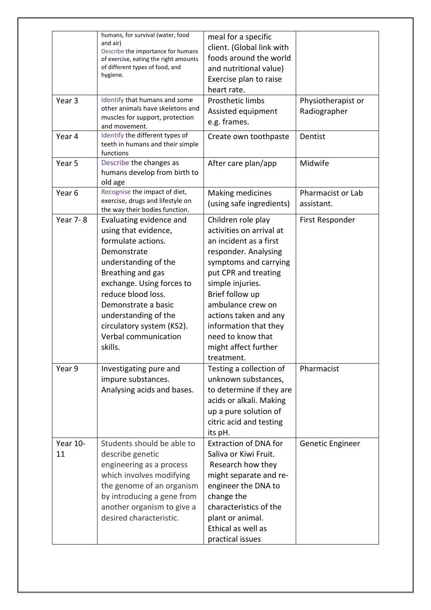| Year 3<br>Year 4  | humans, for survival (water, food<br>and air)<br>Describe the importance for humans<br>of exercise, eating the right amounts<br>of different types of food, and<br>hygiene.<br>Identify that humans and some<br>other animals have skeletons and<br>muscles for support, protection<br>and movement.<br>Identify the different types of<br>teeth in humans and their simple | meal for a specific<br>client. (Global link with<br>foods around the world<br>and nutritional value)<br>Exercise plan to raise<br>heart rate.<br>Prosthetic limbs<br>Assisted equipment<br>e.g. frames.<br>Create own toothpaste                                                                                           | Physiotherapist or<br>Radiographer<br>Dentist |
|-------------------|-----------------------------------------------------------------------------------------------------------------------------------------------------------------------------------------------------------------------------------------------------------------------------------------------------------------------------------------------------------------------------|----------------------------------------------------------------------------------------------------------------------------------------------------------------------------------------------------------------------------------------------------------------------------------------------------------------------------|-----------------------------------------------|
| Year 5            | functions<br>Describe the changes as<br>humans develop from birth to<br>old age                                                                                                                                                                                                                                                                                             | After care plan/app                                                                                                                                                                                                                                                                                                        | Midwife                                       |
| Year <sub>6</sub> | Recognise the impact of diet,<br>exercise, drugs and lifestyle on<br>the way their bodies function.                                                                                                                                                                                                                                                                         | Making medicines<br>(using safe ingredients)                                                                                                                                                                                                                                                                               | Pharmacist or Lab<br>assistant.               |
| <b>Year 7-8</b>   | Evaluating evidence and<br>using that evidence,<br>formulate actions.<br>Demonstrate<br>understanding of the<br>Breathing and gas<br>exchange. Using forces to<br>reduce blood loss.<br>Demonstrate a basic<br>understanding of the<br>circulatory system (KS2).<br>Verbal communication<br>skills.                                                                         | Children role play<br>activities on arrival at<br>an incident as a first<br>responder. Analysing<br>symptoms and carrying<br>put CPR and treating<br>simple injuries.<br>Brief follow up<br>ambulance crew on<br>actions taken and any<br>information that they<br>need to know that<br>might affect further<br>treatment. | First Responder                               |
| Year 9            | Investigating pure and<br>impure substances.<br>Analysing acids and bases.                                                                                                                                                                                                                                                                                                  | Testing a collection of<br>unknown substances,<br>to determine if they are<br>acids or alkali. Making<br>up a pure solution of<br>citric acid and testing<br>its pH.                                                                                                                                                       | Pharmacist                                    |
| Year 10-<br>11    | Students should be able to<br>describe genetic<br>engineering as a process<br>which involves modifying<br>the genome of an organism<br>by introducing a gene from<br>another organism to give a<br>desired characteristic.                                                                                                                                                  | <b>Extraction of DNA for</b><br>Saliva or Kiwi Fruit.<br>Research how they<br>might separate and re-<br>engineer the DNA to<br>change the<br>characteristics of the<br>plant or animal.<br>Ethical as well as<br>practical issues                                                                                          | Genetic Engineer                              |